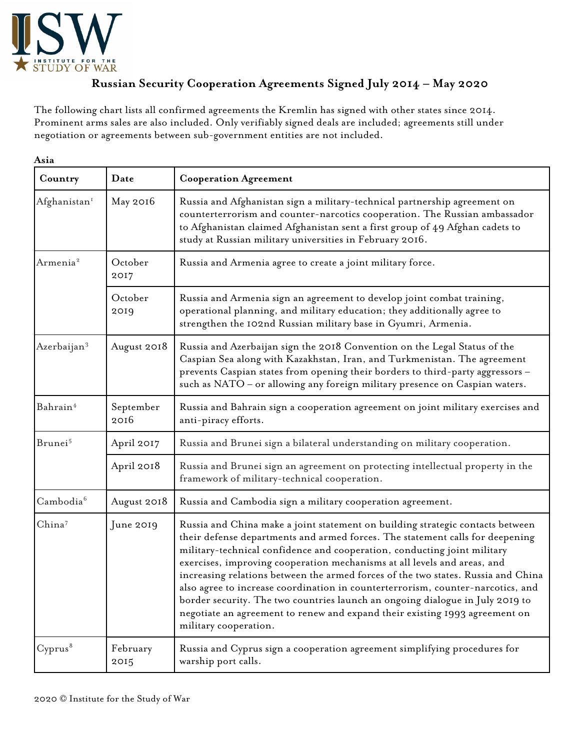

## **Russian Security Cooperation Agreements Signed July 2014 – May 2020**

The following chart lists all confirmed agreements the Kremlin has signed with other states since 2014. Prominent arms sales are also included. Only verifiably signed deals are included; agreements still under negotiation or agreements between sub-government entities are not included.

| Asia<br>Country          | Date<br><b>Cooperation Agreement</b>                                      |                                                                                                                                                                                                                                                                                                                                                                                                                                                                                                                                                                                                                                                                                          |  |
|--------------------------|---------------------------------------------------------------------------|------------------------------------------------------------------------------------------------------------------------------------------------------------------------------------------------------------------------------------------------------------------------------------------------------------------------------------------------------------------------------------------------------------------------------------------------------------------------------------------------------------------------------------------------------------------------------------------------------------------------------------------------------------------------------------------|--|
| Afghanistan <sup>1</sup> | May 2016                                                                  | Russia and Afghanistan sign a military-technical partnership agreement on<br>counterterrorism and counter-narcotics cooperation. The Russian ambassador<br>to Afghanistan claimed Afghanistan sent a first group of 49 Afghan cadets to<br>study at Russian military universities in February 2016.                                                                                                                                                                                                                                                                                                                                                                                      |  |
| Armenia <sup>2</sup>     | October<br>2017                                                           | Russia and Armenia agree to create a joint military force.                                                                                                                                                                                                                                                                                                                                                                                                                                                                                                                                                                                                                               |  |
|                          | October<br>2019                                                           | Russia and Armenia sign an agreement to develop joint combat training,<br>operational planning, and military education; they additionally agree to<br>strengthen the 102nd Russian military base in Gyumri, Armenia.                                                                                                                                                                                                                                                                                                                                                                                                                                                                     |  |
| Azerbaijan <sup>3</sup>  | August 2018                                                               | Russia and Azerbaijan sign the 2018 Convention on the Legal Status of the<br>Caspian Sea along with Kazakhstan, Iran, and Turkmenistan. The agreement<br>prevents Caspian states from opening their borders to third-party aggressors -<br>such as NATO - or allowing any foreign military presence on Caspian waters.                                                                                                                                                                                                                                                                                                                                                                   |  |
| Bahrain <sup>4</sup>     | September<br>2016                                                         | Russia and Bahrain sign a cooperation agreement on joint military exercises and<br>anti-piracy efforts.                                                                                                                                                                                                                                                                                                                                                                                                                                                                                                                                                                                  |  |
| Brunei <sup>5</sup>      | April 2017                                                                | Russia and Brunei sign a bilateral understanding on military cooperation.                                                                                                                                                                                                                                                                                                                                                                                                                                                                                                                                                                                                                |  |
|                          | April 2018                                                                | Russia and Brunei sign an agreement on protecting intellectual property in the<br>framework of military-technical cooperation.                                                                                                                                                                                                                                                                                                                                                                                                                                                                                                                                                           |  |
| Cambodia <sup>6</sup>    | August 2018<br>Russia and Cambodia sign a military cooperation agreement. |                                                                                                                                                                                                                                                                                                                                                                                                                                                                                                                                                                                                                                                                                          |  |
| China <sup>7</sup>       | June 2019                                                                 | Russia and China make a joint statement on building strategic contacts between<br>their defense departments and armed forces. The statement calls for deepening<br>military-technical confidence and cooperation, conducting joint military<br>exercises, improving cooperation mechanisms at all levels and areas, and<br>increasing relations between the armed forces of the two states. Russia and China<br>also agree to increase coordination in counterterrorism, counter-narcotics, and<br>border security. The two countries launch an ongoing dialogue in July 2019 to<br>negotiate an agreement to renew and expand their existing 1993 agreement on<br>military cooperation. |  |
| Cyprus <sup>8</sup>      | February<br>2015                                                          | Russia and Cyprus sign a cooperation agreement simplifying procedures for<br>warship port calls.                                                                                                                                                                                                                                                                                                                                                                                                                                                                                                                                                                                         |  |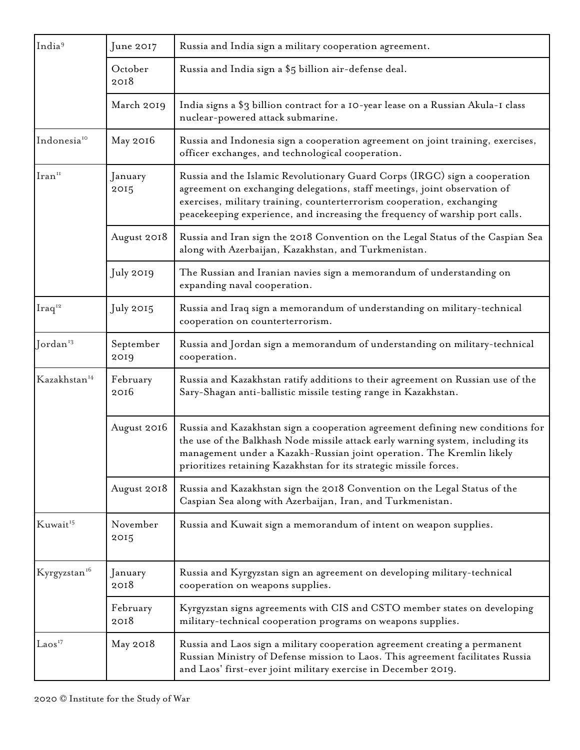| India <sup>9</sup><br>June 2017 |                                                                                                                                                                                                                                            | Russia and India sign a military cooperation agreement.                                                                                                                                                                                                                                                           |  |  |
|---------------------------------|--------------------------------------------------------------------------------------------------------------------------------------------------------------------------------------------------------------------------------------------|-------------------------------------------------------------------------------------------------------------------------------------------------------------------------------------------------------------------------------------------------------------------------------------------------------------------|--|--|
|                                 | October<br>2018                                                                                                                                                                                                                            | Russia and India sign a \$5 billion air-defense deal.                                                                                                                                                                                                                                                             |  |  |
| March 2019                      |                                                                                                                                                                                                                                            | India signs a \$3 billion contract for a 10-year lease on a Russian Akula-I class<br>nuclear-powered attack submarine.                                                                                                                                                                                            |  |  |
| Indonesia <sup>10</sup>         | May 2016                                                                                                                                                                                                                                   | Russia and Indonesia sign a cooperation agreement on joint training, exercises,<br>officer exchanges, and technological cooperation.                                                                                                                                                                              |  |  |
| Iran <sup>II</sup>              | January<br>2015                                                                                                                                                                                                                            | Russia and the Islamic Revolutionary Guard Corps (IRGC) sign a cooperation<br>agreement on exchanging delegations, staff meetings, joint observation of<br>exercises, military training, counterterrorism cooperation, exchanging<br>peacekeeping experience, and increasing the frequency of warship port calls. |  |  |
|                                 | August 2018                                                                                                                                                                                                                                | Russia and Iran sign the 2018 Convention on the Legal Status of the Caspian Sea<br>along with Azerbaijan, Kazakhstan, and Turkmenistan.                                                                                                                                                                           |  |  |
|                                 | July 2019                                                                                                                                                                                                                                  | The Russian and Iranian navies sign a memorandum of understanding on<br>expanding naval cooperation.                                                                                                                                                                                                              |  |  |
| $Iraq^{12}$                     | July 2015                                                                                                                                                                                                                                  | Russia and Iraq sign a memorandum of understanding on military-technical<br>cooperation on counterterrorism.                                                                                                                                                                                                      |  |  |
| Jordan <sup>13</sup>            | September<br>2019                                                                                                                                                                                                                          | Russia and Jordan sign a memorandum of understanding on military-technical<br>cooperation.                                                                                                                                                                                                                        |  |  |
| Kazakhstan <sup>14</sup>        | February<br>2016                                                                                                                                                                                                                           | Russia and Kazakhstan ratify additions to their agreement on Russian use of the<br>Sary-Shagan anti-ballistic missile testing range in Kazakhstan.                                                                                                                                                                |  |  |
|                                 | August 2016                                                                                                                                                                                                                                | Russia and Kazakhstan sign a cooperation agreement defining new conditions for<br>the use of the Balkhash Node missile attack early warning system, including its<br>management under a Kazakh-Russian joint operation. The Kremlin likely<br>prioritizes retaining Kazakhstan for its strategic missile forces.  |  |  |
|                                 | August 2018                                                                                                                                                                                                                                | Russia and Kazakhstan sign the 2018 Convention on the Legal Status of the<br>Caspian Sea along with Azerbaijan, Iran, and Turkmenistan.                                                                                                                                                                           |  |  |
| Kuwait <sup>15</sup>            | November<br>2015                                                                                                                                                                                                                           | Russia and Kuwait sign a memorandum of intent on weapon supplies.                                                                                                                                                                                                                                                 |  |  |
| Kyrgyzstan <sup>16</sup>        | January<br>2018                                                                                                                                                                                                                            | Russia and Kyrgyzstan sign an agreement on developing military-technical<br>cooperation on weapons supplies.                                                                                                                                                                                                      |  |  |
|                                 | February<br>2018                                                                                                                                                                                                                           | Kyrgyzstan signs agreements with CIS and CSTO member states on developing<br>military-technical cooperation programs on weapons supplies.                                                                                                                                                                         |  |  |
| $\text{Laos}^{17}$              | May 2018<br>Russia and Laos sign a military cooperation agreement creating a permanent<br>Russian Ministry of Defense mission to Laos. This agreement facilitates Russia<br>and Laos' first-ever joint military exercise in December 2019. |                                                                                                                                                                                                                                                                                                                   |  |  |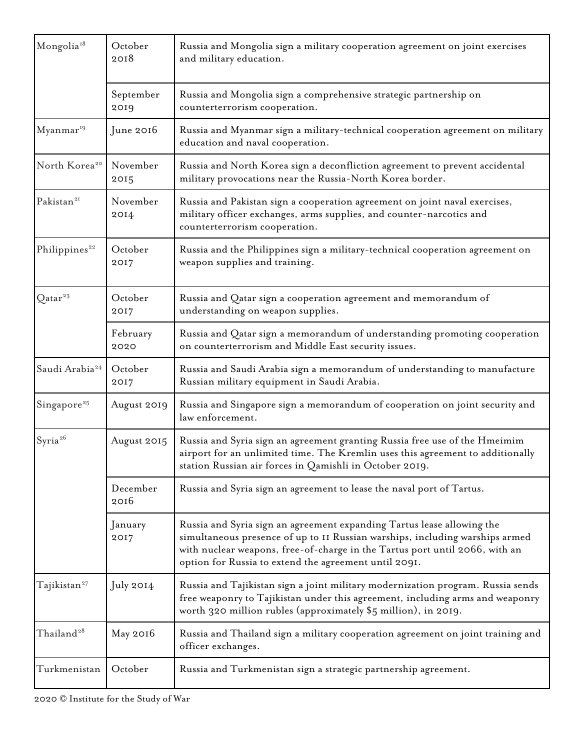| Mongolia <sup>18</sup>     | October<br>2018   | Russia and Mongolia sign a military cooperation agreement on joint exercises<br>and military education.                                                                                                                                                                                        |  |  |  |
|----------------------------|-------------------|------------------------------------------------------------------------------------------------------------------------------------------------------------------------------------------------------------------------------------------------------------------------------------------------|--|--|--|
|                            | September<br>2019 | Russia and Mongolia sign a comprehensive strategic partnership on<br>counterterrorism cooperation.                                                                                                                                                                                             |  |  |  |
| Myanmar <sup>19</sup>      | June 2016         | Russia and Myanmar sign a military-technical cooperation agreement on military<br>education and naval cooperation.                                                                                                                                                                             |  |  |  |
| North Korea <sup>20</sup>  | November<br>2015  | Russia and North Korea sign a deconfliction agreement to prevent accidental<br>military provocations near the Russia-North Korea border.                                                                                                                                                       |  |  |  |
| Pakistan <sup>21</sup>     | November<br>2014  | Russia and Pakistan sign a cooperation agreement on joint naval exercises,<br>military officer exchanges, arms supplies, and counter-narcotics and<br>counterterrorism cooperation.                                                                                                            |  |  |  |
| Philippines <sup>22</sup>  | October<br>2017   | Russia and the Philippines sign a military-technical cooperation agreement on<br>weapon supplies and training.                                                                                                                                                                                 |  |  |  |
| Qatar <sup>23</sup>        | October<br>2017   | Russia and Qatar sign a cooperation agreement and memorandum of<br>understanding on weapon supplies.                                                                                                                                                                                           |  |  |  |
| February<br>2020           |                   | Russia and Qatar sign a memorandum of understanding promoting cooperation<br>on counterterrorism and Middle East security issues.                                                                                                                                                              |  |  |  |
| Saudi Arabia <sup>24</sup> | October<br>2017   | Russia and Saudi Arabia sign a memorandum of understanding to manufacture<br>Russian military equipment in Saudi Arabia.                                                                                                                                                                       |  |  |  |
| Singapore <sup>25</sup>    | August 2019       | Russia and Singapore sign a memorandum of cooperation on joint security and<br>law enforcement.                                                                                                                                                                                                |  |  |  |
| Syria <sup>26</sup>        | August 2015       | Russia and Syria sign an agreement granting Russia free use of the Hmeimim<br>airport for an unlimited time. The Kremlin uses this agreement to additionally<br>station Russian air forces in Qamishli in October 2019.                                                                        |  |  |  |
|                            | December<br>2016  | Russia and Syria sign an agreement to lease the naval port of Tartus.                                                                                                                                                                                                                          |  |  |  |
|                            | January<br>2017   | Russia and Syria sign an agreement expanding Tartus lease allowing the<br>simultaneous presence of up to II Russian warships, including warships armed<br>with nuclear weapons, free-of-charge in the Tartus port until 2066, with an<br>option for Russia to extend the agreement until 2091. |  |  |  |
| Tajikistan <sup>27</sup>   | July 2014         | Russia and Tajikistan sign a joint military modernization program. Russia sends<br>free weaponry to Tajikistan under this agreement, including arms and weaponry<br>worth 320 million rubles (approximately \$5 million), in 2019.                                                             |  |  |  |
| Thailand <sup>28</sup>     | May 2016          | Russia and Thailand sign a military cooperation agreement on joint training and<br>officer exchanges.                                                                                                                                                                                          |  |  |  |
| Turkmenistan               | October           | Russia and Turkmenistan sign a strategic partnership agreement.                                                                                                                                                                                                                                |  |  |  |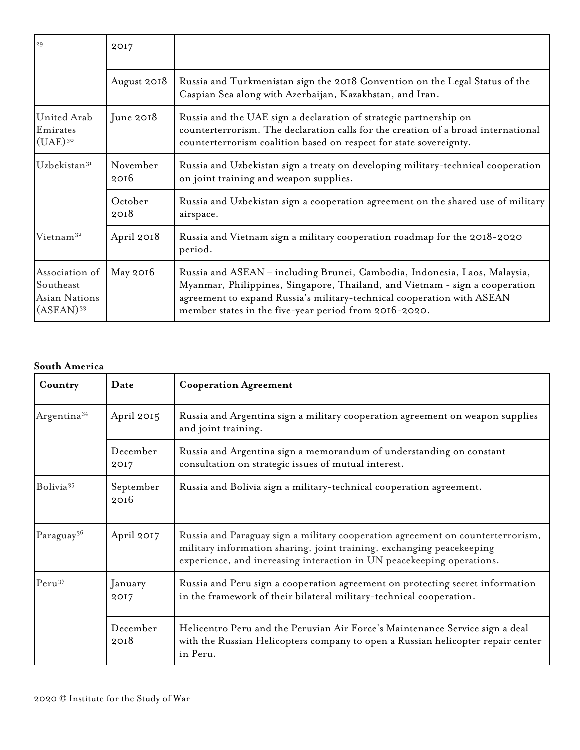| 29                                                                             | 2017            |                                                                                                                                                                                                                                                                                             |  |  |
|--------------------------------------------------------------------------------|-----------------|---------------------------------------------------------------------------------------------------------------------------------------------------------------------------------------------------------------------------------------------------------------------------------------------|--|--|
|                                                                                | August 2018     | Russia and Turkmenistan sign the 2018 Convention on the Legal Status of the<br>Caspian Sea along with Azerbaijan, Kazakhstan, and Iran.                                                                                                                                                     |  |  |
| United Arab<br>Emirates<br>$(UAE)^{30}$                                        | June $2018$     | Russia and the UAE sign a declaration of strategic partnership on<br>counterterrorism. The declaration calls for the creation of a broad international<br>counterterrorism coalition based on respect for state sovereignty.                                                                |  |  |
| November<br>Uzbekistan <sup>31</sup><br>2016                                   |                 | Russia and Uzbekistan sign a treaty on developing military-technical cooperation<br>on joint training and weapon supplies.                                                                                                                                                                  |  |  |
|                                                                                | October<br>2018 | Russia and Uzbekistan sign a cooperation agreement on the shared use of military<br>airspace.                                                                                                                                                                                               |  |  |
| Vietnam <sup>32</sup>                                                          | April 2018      | Russia and Vietnam sign a military cooperation roadmap for the 2018-2020<br>period.                                                                                                                                                                                                         |  |  |
| Association of<br>Southeast<br><b>Asian Nations</b><br>$(ASEAN)$ <sup>33</sup> | May 2016        | Russia and ASEAN - including Brunei, Cambodia, Indonesia, Laos, Malaysia,<br>Myanmar, Philippines, Singapore, Thailand, and Vietnam - sign a cooperation<br>agreement to expand Russia's military-technical cooperation with ASEAN<br>member states in the five-year period from 2016-2020. |  |  |

## **South America**

| Country                 | Date              | <b>Cooperation Agreement</b>                                                                                                                                                                                                     |  |
|-------------------------|-------------------|----------------------------------------------------------------------------------------------------------------------------------------------------------------------------------------------------------------------------------|--|
| Argentina <sup>34</sup> | April 2015        | Russia and Argentina sign a military cooperation agreement on weapon supplies<br>and joint training.                                                                                                                             |  |
|                         | December<br>2017  | Russia and Argentina sign a memorandum of understanding on constant<br>consultation on strategic issues of mutual interest.                                                                                                      |  |
| Bolivia <sup>35</sup>   | September<br>2016 | Russia and Bolivia sign a military-technical cooperation agreement.                                                                                                                                                              |  |
| Paraguay <sup>36</sup>  | April 2017        | Russia and Paraguay sign a military cooperation agreement on counterterrorism,<br>military information sharing, joint training, exchanging peacekeeping<br>experience, and increasing interaction in UN peacekeeping operations. |  |
| Peru <sup>37</sup>      | January<br>2017   | Russia and Peru sign a cooperation agreement on protecting secret information<br>in the framework of their bilateral military-technical cooperation.                                                                             |  |
|                         | December<br>2018  | Helicentro Peru and the Peruvian Air Force's Maintenance Service sign a deal<br>with the Russian Helicopters company to open a Russian helicopter repair center<br>in Peru.                                                      |  |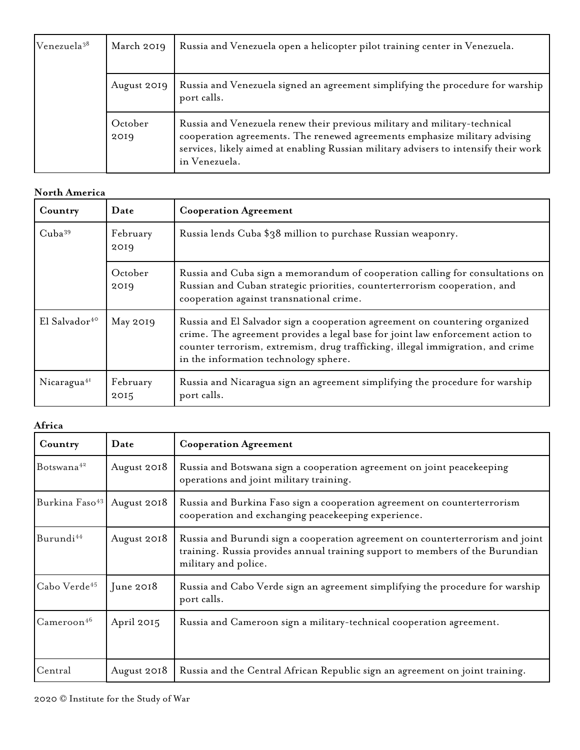| Venezuela <sup>38</sup> | March 2019      | Russia and Venezuela open a helicopter pilot training center in Venezuela.                                                                                                                                                                                       |                                                                                               |
|-------------------------|-----------------|------------------------------------------------------------------------------------------------------------------------------------------------------------------------------------------------------------------------------------------------------------------|-----------------------------------------------------------------------------------------------|
|                         |                 | August 2019                                                                                                                                                                                                                                                      | Russia and Venezuela signed an agreement simplifying the procedure for warship<br>port calls. |
|                         | October<br>2019 | Russia and Venezuela renew their previous military and military-technical<br>cooperation agreements. The renewed agreements emphasize military advising<br>services, likely aimed at enabling Russian military advisers to intensify their work<br>in Venezuela. |                                                                                               |

## **North America**

| Country                                                     | Date             | <b>Cooperation Agreement</b>                                                                                                                                                                                                                                                             |  |
|-------------------------------------------------------------|------------------|------------------------------------------------------------------------------------------------------------------------------------------------------------------------------------------------------------------------------------------------------------------------------------------|--|
| $Cuba^{39}$                                                 | February<br>2019 | Russia lends Cuba \$38 million to purchase Russian weaponry.                                                                                                                                                                                                                             |  |
| October<br>2019<br>cooperation against transnational crime. |                  | Russia and Cuba sign a memorandum of cooperation calling for consultations on<br>Russian and Cuban strategic priorities, counterterrorism cooperation, and                                                                                                                               |  |
| El Salvador <sup>40</sup>                                   | May 2019         | Russia and El Salvador sign a cooperation agreement on countering organized<br>crime. The agreement provides a legal base for joint law enforcement action to<br>counter terrorism, extremism, drug trafficking, illegal immigration, and crime<br>in the information technology sphere. |  |
| Nicaragua <sup>41</sup>                                     | February<br>2015 | Russia and Nicaragua sign an agreement simplifying the procedure for warship<br>port calls.                                                                                                                                                                                              |  |

## **Africa**

| Country                    | Date        | <b>Cooperation Agreement</b>                                                                                                                                                           |  |  |  |
|----------------------------|-------------|----------------------------------------------------------------------------------------------------------------------------------------------------------------------------------------|--|--|--|
| Botswana <sup>42</sup>     | August 2018 | Russia and Botswana sign a cooperation agreement on joint peacekeeping<br>operations and joint military training.                                                                      |  |  |  |
| Burkina Faso <sup>43</sup> | August 2018 | Russia and Burkina Faso sign a cooperation agreement on counterterrorism<br>cooperation and exchanging peacekeeping experience.                                                        |  |  |  |
| Burundi <sup>44</sup>      | August 2018 | Russia and Burundi sign a cooperation agreement on counterterrorism and joint<br>training. Russia provides annual training support to members of the Burundian<br>military and police. |  |  |  |
| Cabo Verde <sup>45</sup>   | June $2018$ | Russia and Cabo Verde sign an agreement simplifying the procedure for warship<br>port calls.                                                                                           |  |  |  |
| $C$ ameroon <sup>46</sup>  | April 2015  | Russia and Cameroon sign a military-technical cooperation agreement.                                                                                                                   |  |  |  |
| Central                    | August 2018 | Russia and the Central African Republic sign an agreement on joint training.                                                                                                           |  |  |  |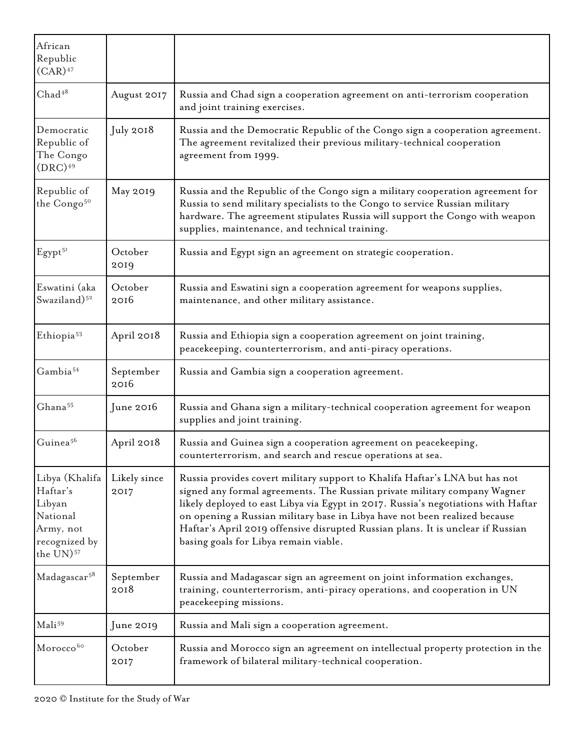| African<br>Republic<br>$(CAR)^{47}$                                                                     |                      |                                                                                                                                                                                                                                                                                                                                                                                                                                                          |  |
|---------------------------------------------------------------------------------------------------------|----------------------|----------------------------------------------------------------------------------------------------------------------------------------------------------------------------------------------------------------------------------------------------------------------------------------------------------------------------------------------------------------------------------------------------------------------------------------------------------|--|
| Chad <sup>48</sup>                                                                                      | August 2017          | Russia and Chad sign a cooperation agreement on anti-terrorism cooperation<br>and joint training exercises.                                                                                                                                                                                                                                                                                                                                              |  |
| Democratic<br>Republic of<br>The Congo<br>$(DRC)^{49}$                                                  | July 2018            | Russia and the Democratic Republic of the Congo sign a cooperation agreement.<br>The agreement revitalized their previous military-technical cooperation<br>agreement from 1999.                                                                                                                                                                                                                                                                         |  |
| Republic of<br>the Congo <sup>50</sup>                                                                  | May 2019             | Russia and the Republic of the Congo sign a military cooperation agreement for<br>Russia to send military specialists to the Congo to service Russian military<br>hardware. The agreement stipulates Russia will support the Congo with weapon<br>supplies, maintenance, and technical training.                                                                                                                                                         |  |
| Egypt <sup>51</sup>                                                                                     | October<br>2019      | Russia and Egypt sign an agreement on strategic cooperation.                                                                                                                                                                                                                                                                                                                                                                                             |  |
| Eswatini (aka<br>Swaziland) <sup>52</sup>                                                               | October<br>2016      | Russia and Eswatini sign a cooperation agreement for weapons supplies,<br>maintenance, and other military assistance.                                                                                                                                                                                                                                                                                                                                    |  |
| Ethiopia <sup>53</sup>                                                                                  | April 2018           | Russia and Ethiopia sign a cooperation agreement on joint training,<br>peacekeeping, counterterrorism, and anti-piracy operations.                                                                                                                                                                                                                                                                                                                       |  |
| Gambia <sup>54</sup>                                                                                    | September<br>2016    | Russia and Gambia sign a cooperation agreement.                                                                                                                                                                                                                                                                                                                                                                                                          |  |
| Ghana <sup>55</sup>                                                                                     | June 2016            | Russia and Ghana sign a military-technical cooperation agreement for weapon<br>supplies and joint training.                                                                                                                                                                                                                                                                                                                                              |  |
| Guinea <sup>56</sup>                                                                                    | April 2018           | Russia and Guinea sign a cooperation agreement on peacekeeping,<br>counterterrorism, and search and rescue operations at sea.                                                                                                                                                                                                                                                                                                                            |  |
| Libya (Khalifa<br>Haftar's<br>Libyan<br>National<br>Army, not<br>recognized by<br>the UN) <sup>57</sup> | Likely since<br>2017 | Russia provides covert military support to Khalifa Haftar's LNA but has not<br>signed any formal agreements. The Russian private military company Wagner<br>likely deployed to east Libya via Egypt in 2017. Russia's negotiations with Haftar<br>on opening a Russian military base in Libya have not been realized because<br>Haftar's April 2019 offensive disrupted Russian plans. It is unclear if Russian<br>basing goals for Libya remain viable. |  |
| Madagascar <sup>58</sup>                                                                                | September<br>2018    | Russia and Madagascar sign an agreement on joint information exchanges,<br>training, counterterrorism, anti-piracy operations, and cooperation in UN<br>peacekeeping missions.                                                                                                                                                                                                                                                                           |  |
| Mali <sup>59</sup>                                                                                      | June 2019            | Russia and Mali sign a cooperation agreement.                                                                                                                                                                                                                                                                                                                                                                                                            |  |
| Morocco <sup>60</sup>                                                                                   | October<br>2017      | Russia and Morocco sign an agreement on intellectual property protection in the<br>framework of bilateral military-technical cooperation.                                                                                                                                                                                                                                                                                                                |  |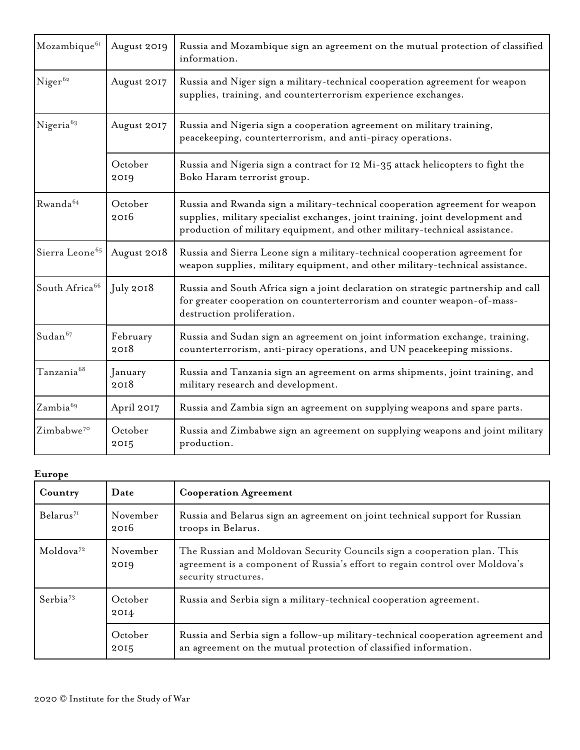| Mozambique <sup>61</sup>   | August 2019                                                                                                                                         | Russia and Mozambique sign an agreement on the mutual protection of classified<br>information.                                                                                                                                               |  |  |  |
|----------------------------|-----------------------------------------------------------------------------------------------------------------------------------------------------|----------------------------------------------------------------------------------------------------------------------------------------------------------------------------------------------------------------------------------------------|--|--|--|
| Niger <sup>62</sup>        | August 2017                                                                                                                                         | Russia and Niger sign a military-technical cooperation agreement for weapon<br>supplies, training, and counterterrorism experience exchanges.                                                                                                |  |  |  |
| Nigeria <sup>63</sup>      | August 2017<br>Russia and Nigeria sign a cooperation agreement on military training,<br>peacekeeping, counterterrorism, and anti-piracy operations. |                                                                                                                                                                                                                                              |  |  |  |
|                            | October<br>2019                                                                                                                                     | Russia and Nigeria sign a contract for 12 Mi-35 attack helicopters to fight the<br>Boko Haram terrorist group.                                                                                                                               |  |  |  |
| Rwanda <sup>64</sup>       | October<br>2016                                                                                                                                     | Russia and Rwanda sign a military-technical cooperation agreement for weapon<br>supplies, military specialist exchanges, joint training, joint development and<br>production of military equipment, and other military-technical assistance. |  |  |  |
| Sierra Leone <sup>65</sup> | August 2018                                                                                                                                         | Russia and Sierra Leone sign a military-technical cooperation agreement for<br>weapon supplies, military equipment, and other military-technical assistance.                                                                                 |  |  |  |
| South Africa <sup>66</sup> | $\mathrm{July}$ 2018                                                                                                                                | Russia and South Africa sign a joint declaration on strategic partnership and call<br>for greater cooperation on counterterrorism and counter weapon-of-mass-<br>destruction proliferation.                                                  |  |  |  |
| Sudan <sup>67</sup>        | February<br>2018                                                                                                                                    | Russia and Sudan sign an agreement on joint information exchange, training,<br>counterterrorism, anti-piracy operations, and UN peacekeeping missions.                                                                                       |  |  |  |
| Tanzania <sup>68</sup>     | January<br>2018                                                                                                                                     | Russia and Tanzania sign an agreement on arms shipments, joint training, and<br>military research and development.                                                                                                                           |  |  |  |
| Zambia <sup>69</sup>       | April 2017                                                                                                                                          | Russia and Zambia sign an agreement on supplying weapons and spare parts.                                                                                                                                                                    |  |  |  |
| Zimbabwe <sup>70</sup>     | October<br>2015                                                                                                                                     | Russia and Zimbabwe sign an agreement on supplying weapons and joint military<br>production.                                                                                                                                                 |  |  |  |

| Europe                |                  |                                                                                                     |  |
|-----------------------|------------------|-----------------------------------------------------------------------------------------------------|--|
| Country               | Date             | <b>Cooperation Agreement</b>                                                                        |  |
| Belarus <sup>71</sup> | November<br>2016 | Russia and Belarus sign an agreement<br>troops in Belarus.                                          |  |
| Moldova <sup>72</sup> | November<br>2019 | The Russian and Moldovan Security (<br>agreement is a component of Russia's<br>security structures. |  |
| Serbia <sup>73</sup>  | October<br>2014  | Russia and Serbia sign a military-tech                                                              |  |

| Country                  | Date             | <b>Cooperation Agreement</b>                                                                                                                                                     |  |
|--------------------------|------------------|----------------------------------------------------------------------------------------------------------------------------------------------------------------------------------|--|
| Belarus <sup>71</sup>    | November<br>2016 | Russia and Belarus sign an agreement on joint technical support for Russian<br>troops in Belarus.                                                                                |  |
| $M$ oldova <sup>72</sup> | November<br>2019 | The Russian and Moldovan Security Councils sign a cooperation plan. This<br>agreement is a component of Russia's effort to regain control over Moldova's<br>security structures. |  |
| Serbia <sup>73</sup>     | October<br>2014  | Russia and Serbia sign a military-technical cooperation agreement.                                                                                                               |  |
|                          | October<br>2015  | Russia and Serbia sign a follow-up military-technical cooperation agreement and<br>an agreement on the mutual protection of classified information.                              |  |
|                          |                  |                                                                                                                                                                                  |  |

٦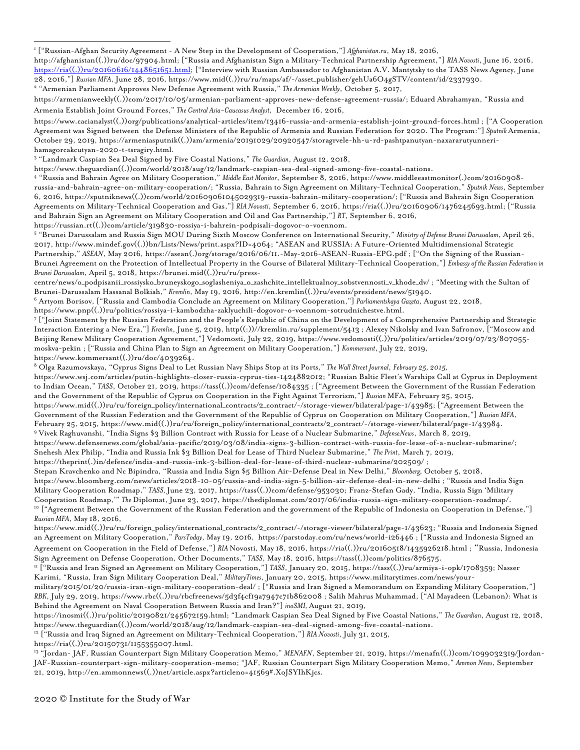https://www.cacianalyst((.))org/publications/analytical-articles/item/13416-russia-and-armenia-establish-joint-ground-forces.html ; ["A Cooperation Agreement was Signed between the Defense Ministers of the Republic of Armenia and Russian Federation for 2020. The Program:"] *Sputnik* Armenia, October 29, 2019, https://armeniasputnik((.))am/armenia/20191029/20920547/storagrvele-hh-u-rd-pashtpanutyan-naxararutyunnerihamagorcakcutyan-2020-t-tsragiry.html.

<span id="page-7-2"></span><sup>3</sup> "Landmark Caspian Sea Deal Signed by Five Coastal Nations," *The Guardian*, August 12, 2018,

https://www.theguardian((.))com/world/2018/aug/12/landmark-caspian-sea-deal-signed-among-five-coastal-nations.

<span id="page-7-3"></span><sup>4</sup> "Russia and Bahrain Agree on Military Cooperation," *Middle East Monitor*, September 8, 2016, https://www.middleeastmonitor(.)com/20160908 russia-and-bahrain-agree-on-military-cooperation/; "Russia, Bahrain to Sign Agreement on Military-Technical Cooperation," *Sputnik News*, September 6, 2016, https://sputniknews((.))com/world/201609061045029319-russia-bahrain-military-cooperation/; ["Russia and Bahrain Sign Cooperation Agreements on Military-Technical Cooperation and Gas,"] *RIA Novosti*, September 6, 2016, https://ria((.))ru/20160906/1476245693.html; ["Russia and Bahrain Sign an Agreement on Military Cooperation and Oil and Gas Partnership,"] *RT*, September 6, 2016,

https://russian.rt((.))com/article/319830-rossiya-i-bahrein-podpisali-dogovor-o-voennom.

<span id="page-7-4"></span><sup>5</sup> "Brunei Darussalam and Russia Sign MOU During Sixth Moscow Conference on International Security," *Ministry of Defense Brunei Darussalam*, April 26, 2017, http://www.mindef.gov((.))bn/Lists/News/print.aspx?ID=4064; "ASEAN and RUSSIA: A Future-Oriented Multidimensional Strategic Partnership," *ASEAN*, May 2016, https://asean(.)org/storage/2016/06/11.-May-2016-ASEAN-Russia-EPG.pdf ; ["On the Signing of the Russian-Brunei Agreement on the Protection of Intellectual Property in the Course of Bilateral Military-Technical Cooperation,"] *Embassy of the Russian Federation in Brunei Darussalam*, April 5, 2018, https://brunei.mid((.))ru/ru/press-

centre/news/o\_podpisanii\_rossiysko\_bruneyskogo\_soglasheniya\_o\_zashchite\_intellektualnoy\_sobstvennosti\_v\_khode\_dv/ ; "Meeting with the Sultan of Brunei-Darussalam Hassanal Bolkiah," *Kremlin*, May 19, 2016, http://en.kremlin((.))ru/events/president/news/51940.

<span id="page-7-5"></span><sup>6</sup> Artyom Borisov, ["Russia and Cambodia Conclude an Agreement on Military Cooperation,"] *Parliamentskaya Gazeta*, August 22, 2018,

https://www.pnp((.))ru/politics/rossiya-i-kambodzha-zaklyuchili-dogovor-o-voennom-sotrudnichestve.html.

<span id="page-7-6"></span><sup>7</sup> ["Joint Statement by the Russian Federation and the People's Republic of China on the Development of a Comprehensive Partnership and Strategic Interaction Entering a New Era,"] *Kremlin*, June 5, 2019, http((:))//kremlin.ru/supplement/5413 ; Alexey Nikolsky and Ivan Safronov, ["Moscow and Beijing Renew Military Cooperation Agreement,"] Vedomosti, July 22, 2019, https://www.vedomosti((.))ru/politics/articles/2019/07/23/807055 moskva-pekin ; ["Russia and China Plan to Sign an Agreement on Military Cooperation,"] *Kommersant*, July 22, 2019, https://www.kommersant((.))ru/doc/4039264.

<span id="page-7-7"></span><sup>8</sup> Olga Razumovskaya, "Cyprus Signs Deal to Let Russian Navy Ships Stop at its Ports," *The Wall Street Journal*, *February 25, 2015,* https://www.wsj.com/articles/putin-highlights-closer-russia-cyprus-ties-1424882012; "Russian Baltic Fleet's Warships Call at Cyprus in Deployment to Indian Ocean," *TASS*, October 21, 2019, https://tass((.))com/defense/1084335 ; ["Agreement Between the Government of the Russian Federation and the Government of the Republic of Cyprus on Cooperation in the Fight Against Terrorism,"] *Russian* MFA, February 25, 2015, https://www.mid((.))ru/ru/foreign\_policy/international\_contracts/2\_contract/-/storage-viewer/bilateral/page-1/43985; ["Agreement Between the Government of the Russian Federation and the Government of the Republic of Cyprus on Cooperation on Military Cooperation,"] *Russian MFA*, February 25, 2015, https://www.mid((.))ru/ru/foreign\_policy/international\_contracts/2\_contract/-/storage-viewer/bilateral/page-1/43984. <sup>9</sup> Vivek Raghuvanshi, "India Signs \$3 Billion Contract with Russia for Lease of a Nuclear Submarine," *DefenseNews*, March 8, 2019, https://www.defensenews.com/global/asia-pacific/2019/03/08/india-signs-3-billion-contract-with-russia-for-lease-of-a-nuclear-submarine/;

<span id="page-7-8"></span>Snehesh Alex Philip, "India and Russia Ink \$3 Billion Deal for Lease of Third Nuclear Submarine," *The Print*, March 7, 2019,

https://theprint(.)in/defence/india-and-russia-ink-3-billion-deal-for-lease-of-third-nuclear-submarine/202509/ ;

Stepan Kravchenko and Nc Bipindra, "Russia and India Sign \$5 Billion Air-Defense Deal in New Delhi," *Bloomberg,* October 5, 2018,

https://www.bloomberg.com/news/articles/2018-10-05/russia-and-india-sign-5-billion-air-defense-deal-in-new-delhi ; "Russia and India Sign

Military Cooperation Roadmap," *TASS,* June 23, 2017, https://tass((.))com/defense/953030; Franz-Stefan Gady, "India, Russia Sign 'Military

Cooperation Roadmap,'" *The* Diplomat, June 23, 2017, https://thediplomat.com/2017/06/india-russia-sign-military-cooperation-roadmap/.

<span id="page-7-9"></span><sup>10</sup> ["Agreement Between the Government of the Russian Federation and the government of the Republic of Indonesia on Cooperation in Defense,"] *Russian MFA*, May 18, 2016,

https://www.mid((.))ru/ru/foreign\_policy/international\_contracts/2\_contract/-/storage-viewer/bilateral/page-1/43623; "Russia and Indonesia Signed an Agreement on Military Cooperation," *ParsToday*, May 19, 2016, https://parstoday.com/ru/news/world-i26446 ; ["Russia and Indonesia Signed an Agreement on Cooperation in the Field of Defense,"] *RIA* Novosti, May 18, 2016, https://ria((.))ru/20160518/1435926218.html ; "Russia, Indonesia Sign Agreement on Defense Cooperation, Other Documents," *TASS*, May 18, 2016, https://tass((.))com/politics/876575.

<span id="page-7-10"></span><sup>11</sup> ["Russia and Iran Signed an Agreement on Military Cooperation,"] *TASS*, January 20, 2015, https://tass((.))ru/armiya-i-opk/1708359; Nasser Karimi, "Russia, Iran Sign Military Cooperation Deal," *MilitaryTimes*, January 20, 2015, https://www.militarytimes.com/news/your-

military/2015/01/20/russia-iran-sign-military-cooperation-deal/ ; ["Russia and Iran Signed a Memorandum on Expanding Military Cooperation,"] *RBK*, July 29, 2019, https://www.rbc((.))ru/rbcfreenews/5d3f4cf19a7947c71b862008 ; Salih Mahrus Muhammad, ["Al Mayadeen (Lebanon): What is Behind the Agreement on Naval Cooperation Between Russia and Iran?"] *inoSMI,* August 21, 2019,

https://inosmi((.))ru/politic/20190821/245672159.html; "Landmark Caspian Sea Deal Signed by Five Coastal Nations," *The Guardian*, August 12, 2018, https://www.theguardian((.))com/world/2018/aug/12/landmark-caspian-sea-deal-signed-among-five-coastal-nations.

<span id="page-7-11"></span><sup>12</sup> ["Russia and Iraq Signed an Agreement on Military-Technical Cooperation,"] *RIA Novosti*, July 31, 2015,

https://ria((.))ru/20150731/1155355007.html.

<span id="page-7-12"></span><sup>13</sup> "Jordan- JAF, Russian Counterpart Sign Military Cooperation Memo," *MENAFN*, September 21, 2019, https://menafn((.))com/1099032319/Jordan-JAF-Russian-counterpart-sign-military-cooperation-memo; "JAF, Russian Counterpart Sign Military Cooperation Memo," *Ammon News*, September 21, 2019, http://en.ammonnews((.))net/article.aspx?articleno=41569#.XoJSYIhKjcs.

<sup>1</sup> ["Russian-Afghan Security Agreement - A New Step in the Development of Cooperation,"] *Afghanistan.ru*, May 18, 2016,

<span id="page-7-0"></span>http://afghanistan((.))ru/doc/97904.html; ["Russia and Afghanistan Sign a Military-Technical Partnership Agreement,"] *RIA Novosti*, June 16, 2016, [https://ria\(\(.\)\)ru/20160616/1448651651.html;](https://ria((.))ru/20160616/1448651651.html) ["Interview with Russian Ambassador to Afghanistan A.V. Mantytsky to the TASS News Agency, June 28, 2016,"] *Russian MFA*, June 28, 2016, https://www.mid((.))ru/ru/maps/af/-/asset\_publisher/gehUa6O4gSTV/content/id/2337930. <sup>2</sup> "Armenian Parliament Approves New Defense Agreement with Russia," *The Armenian Weekly*, October 5, 2017,

<span id="page-7-1"></span>https://armenianweekly((.))com/2017/10/05/armenian-parliament-approves-new-defense-agreement-russia/; Eduard Abrahamyan, "Russia and Armenia Establish Joint Ground Forces," *The Central Asia-Caucasus Analyst*, December 16, 2016,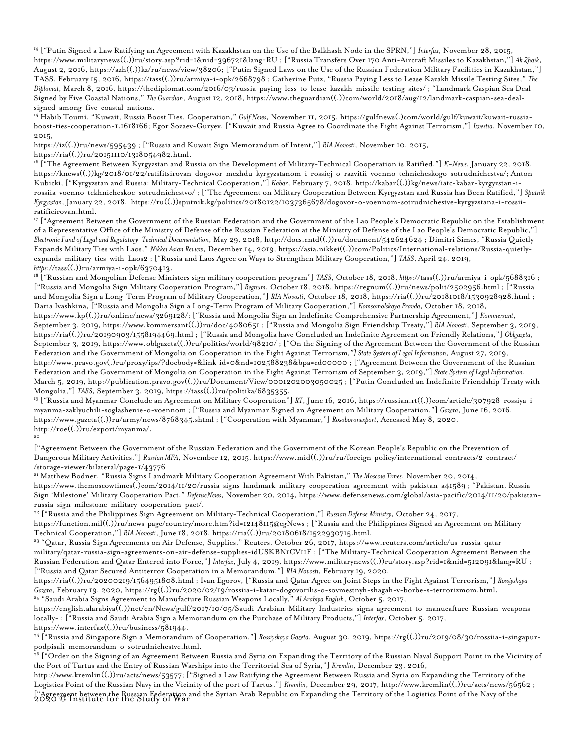<span id="page-8-0"></span><sup>14</sup> ["Putin Signed a Law Ratifying an Agreement with Kazakhstan on the Use of the Balkhash Node in the SPRN,"] *Interfax*, November 28, 2015, https://www.militarynews((.))ru/story.asp?rid=1&nid=396721&lang=RU ; ["Russia Transfers Over 170 Anti-Aircraft Missiles to Kazakhstan,"] *Ak Zhaik*, August 2, 2016, https://azh((.))kz/ru/news/view/38206; ["Putin Signed Laws on the Use of the Russian Federation Military Facilities in Kazakhstan,"] TASS, February 15, 2016, https://tass((.))ru/armiya-i-opk/2668798 ; Catherine Putz, "Russia Paying Less to Lease Kazakh Missile Testing Sites," *The Diplomat*, March 8, 2016, https://thediplomat.com/2016/03/russia-paying-less-to-lease-kazakh-missile-testing-sites/ ; "Landmark Caspian Sea Deal Signed by Five Coastal Nations," *The Guardian*, August 12, 2018, https://www.theguardian((.))com/world/2018/aug/12/landmark-caspian-sea-dealsigned-among-five-coastal-nations.

<span id="page-8-1"></span><sup>15</sup> Habib Toumi, "Kuwait, Russia Boost Ties, Cooperation," *Gulf News*, November 11, 2015, https://gulfnews(.)com/world/gulf/kuwait/kuwait-russiaboost-ties-cooperation-1.1618166; Egor Sozaev-Guryev, ["Kuwait and Russia Agree to Coordinate the Fight Against Terrorism,"] *Izvestia*, November 10, 2015,

https://iz((.))ru/news/595439 ; ["Russia and Kuwait Sign Memorandum of Intent,"] *RIA Novosti*, November 10, 2015,

https://ria((.))ru/20151110/1318054982.html.

<span id="page-8-2"></span><sup>16</sup> ["The Agreement Between Kyrgyzstan and Russia on the Development of Military-Technical Cooperation is Ratified,"] *K-News*, January 22, 2018, https://knews((.))kg/2018/01/22/ratifitsirovan-dogovor-mezhdu-kyrgyzstanom-i-rossiej-o-razvitii-voenno-tehnicheskogo-sotrudnichestva/; Anton Kubicki, ["Kyrgyzstan and Russia: Military-Technical Cooperation,"] *Kabar*, February 7, 2018, http://kabar((.))kg/news/iatc-kabar-kyrgyzstan-irossiia-voenno-tekhnicheskoe-sotrudnichestvo/ ; ["The Agreement on Military Cooperation Between Kyrgyzstan and Russia has Been Ratified,"] *Sputnik Kyrgyzstan*, January 22, 2018, https://ru((.))sputnik.kg/politics/20180122/1037365678/dogovor-o-voennom-sotrudnichestve-kyrgyzstana-i-rossiiratificirovan.html.

<span id="page-8-3"></span><sup>17</sup> ["Agreement Between the Government of the Russian Federation and the Government of the Lao People's Democratic Republic on the Establishment of a Representative Office of the Ministry of Defense of the Russian Federation at the Ministry of Defense of the Lao People's Democratic Republic,"] *Electronic Fund of Legal and Regulatory-Technical Documentation*, May 29, 2018, http://docs.cntd((.))ru/document/542624624 ; Dimitri Simes, "Russia Quietly Expands Military Ties with Laos," *Nikkei Asian Review*, December 14, 2019, https://asia.nikkei((.))com/Politics/International-relations/Russia-quietlyexpands-military-ties-with-Laos2 ; ["Russia and Laos Agree on Ways to Strengthen Military Cooperation,"] *TASS*, April 24, 2019, *https*://tass((.))ru/armiya-i-opk/6370413.

<span id="page-8-4"></span><sup>18</sup> ["Russian and Mongolian Defense Ministers sign military cooperation program"] *TASS*, October 18, 2018,*https*://tass((.))ru/armiya-i-opk/5688316 ; ["Russia and Mongolia Sign Military Cooperation Program,"] *Regnum*, October 18, 2018, https://regnum((.))ru/news/polit/2502956.html ; ["Russia and Mongolia Sign a Long-Term Program of Military Cooperation,"] *RIA Novosti*, October 18, 2018, https://ria((.))ru/20181018/1530928928.html ; Daria Ivashkina, ["Russia and Mongolia Sign a Long-Term Program of Military Cooperation,"] *Komsomolskaya Pravda*, October 18, 2018, https://www.kp((.))ru/online/news/3269128/; ["Russia and Mongolia Sign an Indefinite Comprehensive Partnership Agreement,"] *Kommersant*, September 3, 2019, https://www.kommersant((.))ru/doc/4080651 ; ["Russia and Mongolia Sign Friendship Treaty,"] *RIA Novosti*, September 3, 2019, https://ria((.))ru/20190903/1558194469.html ; ["Russia and Mongolia have Concluded an Indefinite Agreement on Friendly Relations,"] *Oblgazeta*, September 3, 2019, https://www.oblgazeta((.))ru/politics/world/98210/ ; ["On the Signing of the Agreement Between the Government of the Russian Federation and the Government of Mongolia on Cooperation in the Fight Against Terrorism*,"] State System of Legal Information*, August 27, 2019, http://www.pravo.gov(.)ru/proxy/ips/?docbody=&link\_id=0&nd=102588238&bpa=cd00000 ; ["Agreement Between the Government of the Russian Federation and the Government of Mongolia on Cooperation in the Fight Against Terrorism of September 3, 2019,"] *State System of Legal Information*, March 5, 2019, http://publication.pravo.gov((.))ru/Document/View/0001202003050025 ; ["Putin Concluded an Indefinite Friendship Treaty with

<span id="page-8-5"></span>Mongolia,"] TASS, September 3, 2019, https://tass((.))ru/politika/6835355.<br>'9 ["Russia and Myanmar Conclude an Agreement on Military Cooperation"] RT, June 16, 2016, https://russian.rt((.))com/article/307928-rossiya-imyanma-zaklyuchili-soglashenie-o-voennom ; ["Russia and Myanmar Signed an Agreement on Military Cooperation,"] *Gazeta*, June 16, 2016, https://www.gazeta((.))ru/army/news/8768345.shtml ; ["Cooperation with Myanmar,"] *Rosoboronexport*, Accessed May 8, 2020, http://roe((.))ru/export/myanma/. 20

<span id="page-8-6"></span>["Agreement Between the Government of the Russian Federation and the Government of the Korean People's Republic on the Prevention of Dangerous Military Activities,"] *Russian MFA*, November 12, 2015, https://www.mid((.))ru/ru/foreign\_policy/international\_contracts/2\_contract/- /storage-viewer/bilateral/page-1/43776

<span id="page-8-7"></span><sup>21</sup> Matthew Bodner, "Russia Signs Landmark Military Cooperation Agreement With Pakistan," *The Moscow Times*, November 20, 2014, https://www.themoscowtimes(.)com/2014/11/20/russia-signs-landmark-military-cooperation-agreement-with-pakistan-a41589 ; "Pakistan, Russia Sign 'Milestone' Military Cooperation Pact," *DefenseNews*, November 20, 2014, https://www.defensenews.com/global/asia-pacific/2014/11/20/pakistanrussia-sign-milestone-military-cooperation-pact/.

<span id="page-8-8"></span><sup>22</sup> ["Russia and the Philippines Sign Agreement on Military-Technical Cooperation,"] *Russian Defense Ministry*, October 24, 2017, https://function.mil((.))ru/news\_page/country/more.htm?id=12148115@egNews ; ["Russia and the Philippines Signed an Agreement on Military-Technical Cooperation,"] *RIA Novosti*, June 18, 2018, https://ria((.))ru/20180618/1522930715.html.

<span id="page-8-9"></span><sup>23</sup> "Qatar, Russia Sign Agreements on Air Defense, Supplies," Reuters, October 26, 2017, https://www.reuters.com/article/us-russia-qatarmilitary/qatar-russia-sign-agreements-on-air-defense-supplies-idUSKBN1CV11E ; ["The Military-Technical Cooperation Agreement Between the Russian Federation and Qatar Entered into Force,"] *Interfax*, July 4, 2019, https://www.militarynews((.))ru/story.asp?rid=1&nid=512091&lang=RU ; ["Russia and Qatar Secured Antiterror Cooperation in a Memorandum,"] *RIA Novosti*, February 19, 2020,

https://ria((.))ru/20200219/1564951808.html ; Ivan Egorov, ["Russia and Qatar Agree on Joint Steps in the Fight Against Terrorism,"] *Rossiyskaya Gazeta*, February 19, 2020, https://rg((.))ru/2020/02/19/rossiia-i-katar-dogovorilis-o-sovmestnyh-shagah-v-borbe-s-terrorizmom.html. <sup>24</sup> "Saudi Arabia Signs Agreement to Manufacture Russian Weapons Locally," *Al Arabiya English*, October 5, 2017,

<span id="page-8-10"></span>https://english.alarabiya((.))net/en/News/gulf/2017/10/05/Saudi-Arabian-Military-Industries-signs-agreement-to-manucafture-Russian-weaponslocally- ; ["Russia and Saudi Arabia Sign a Memorandum on the Purchase of Military Products,"] *Interfax*, October 5, 2017, https://www.interfax((.))ru/business/581944.

<span id="page-8-11"></span><sup>25</sup> ["Russia and Singapore Sign a Memorandum of Cooperation,"] *Rossiyskaya Gazeta*, August 30, 2019, https://rg((.))ru/2019/08/30/rossiia-i-singapurpodpisali-memorandum-o-sotrudnichestve.html.

<span id="page-8-12"></span><u>.</u><br><sup>26</sup> ["Order on the Signing of an Agreement Between Russia and Syria on Expanding the Territory of the Russian Naval Support Point in the Vicinity of the Port of Tartus and the Entry of Russian Warships into the Territorial Sea of Syria,"] *Kremlin*, December 23, 2016,

2020 © Institute for the Study of War ["Agreement between the Russian Federation and the Syrian Arab Republic on Expanding the Territory of the Logistics Point of the Navy of the http://www.kremlin((.))ru/acts/news/53577; ["Signed a Law Ratifying the Agreement Between Russia and Syria on Expanding the Territory of the Logistics Point of the Russian Navy in the Vicinity of the port of Tartus,"] *Kremlin*, December 29, 2017, http://www.kremlin((.))ru/acts/news/56562 ;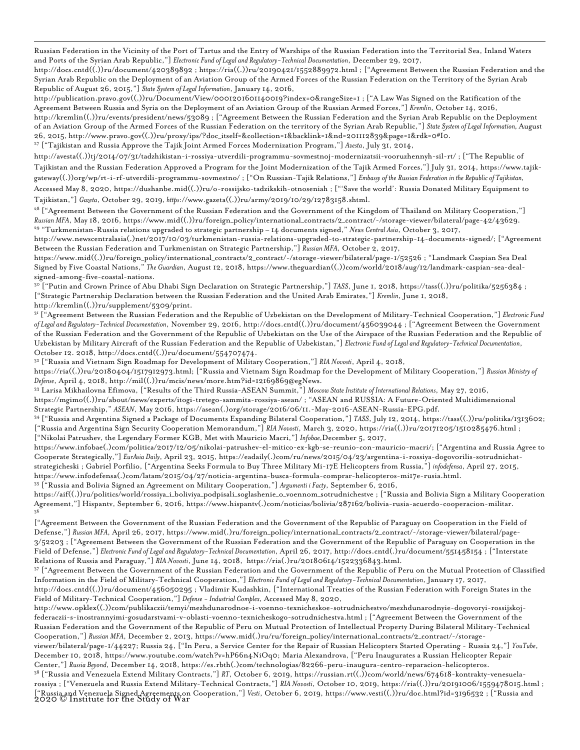Russian Federation in the Vicinity of the Port of Tartus and the Entry of Warships of the Russian Federation into the Territorial Sea, Inland Waters and Ports of the Syrian Arab Republic,"] *Electronic Fund of Legal and Regulatory-Technical Documentation*, December 29, 2017,

http://docs.cntd((.))ru/document/420389892 ; https://ria((.))ru/20190421/1552889972.html ; ["Agreement Between the Russian Federation and the Syrian Arab Republic on the Deployment of an Aviation Group of the Armed Forces of the Russian Federation on the Territory of the Syrian Arab Republic of August 26, 2015,"] *State System of Legal Information*, January 14, 2016,

http://publication.pravo.gov((.))ru/Document/View/0001201601140019?index=0&rangeSize=1 ; ["A Law Was Signed on the Ratification of the Agreement Between Russia and Syria on the Deployment of an Aviation Group of the Russian Armed Forces,"] *Kremlin*, October 14, 2016, http://kremlin((.))ru/events/president/news/53089 ; ["Agreement Between the Russian Federation and the Syrian Arab Republic on the Deployment of an Aviation Group of the Armed Forces of the Russian Federation on the territory of the Syrian Arab Republic,"] *State System of Legal Information,* August 26, 2015, http://www.pravo.gov((.))ru/proxy/ips/?doc\_itself=&collection=1&backlink=1&nd=201112839&page=1&rdk=0#I0. <sup>27</sup> ["Tajikistan and Russia Approve the Tajik Joint Armed Forces Modernization Program,"] *Avesta*, July 31, 2014,

<span id="page-9-0"></span>http://avesta((.))tj/2014/07/31/tadzhikistan-i-rossiya-utverdili-programmu-sovmestnoj-modernizatsii-vooruzhennyh-sil-rt/ ; ["The Republic of

Tajikistan and the Russian Federation Approved a Program for the Joint Modernization of the Tajik Armed Forces,"] July 31, 2014, https://www.tajikgateway((.))org/wp/rt-i-rf-utverdili-programmu-sovmestno/ ; ["On Russian-Tajik Relations,"] *Embassy of the Russian Federation in the Republicof Tajikistan,* Accessed May 8, 2020, https://dushanbe.mid((.))ru/o-rossijsko-tadzikskih-otnoseniah ; ["'Save the world': Russia Donated Military Equipment to

Tajikistan,"] *Gazeta*, October 29, 2019,*https*://www.gazeta((.))ru/army/2019/10/29/12783158.shtml.

<span id="page-9-1"></span><sup>28</sup> ["Agreement Between the Government of the Russian Federation and the Government of the Kingdom of Thailand on Military Cooperation,"] *Russian MFA*, May 18, 2016, https://www.mid((.))ru/foreign\_policy/international\_contracts/2\_contract/-/storage-viewer/bilateral/page-42/43629. <sup>29</sup> "Turkmenistan-Russia relations upgraded to strategic partnership – 14 documents signed," *News Central Asia*, October 3, 2017,

<span id="page-9-2"></span>http://www.newscentralasia(.)net/2017/10/03/turkmenistan-russia-relations-upgraded-to-strategic-partnership-14-documents-signed/; ["Agreement Between the Russian Federation and Turkmenistan on Strategic Partnership,"] *Russian MFA*, October 2, 2017,

https://www.mid((.))ru/foreign\_policy/international\_contracts/2\_contract/-/storage-viewer/bilateral/page-1/52526 ; "Landmark Caspian Sea Deal Signed by Five Coastal Nations," *The Guardian*, August 12, 2018, https://www.theguardian((.))com/world/2018/aug/12/landmark-caspian-sea-dealsigned-among-five-coastal-nations.

<span id="page-9-3"></span><sup>30</sup> ["Putin and Crown Prince of Abu Dhabi Sign Declaration on Strategic Partnership,"] *TASS*, June 1, 2018, https://tass((.))ru/politika/5256384 ; ["Strategic Partnership Declaration between the Russian Federation and the United Arab Emirates,"] *Kremlin*, June 1, 2018, http://kremlin((.))ru/supplement/5309/print.

<span id="page-9-4"></span><sup>31</sup> ["Agreement Between the Russian Federation and the Republic of Uzbekistan on the Development of Military-Technical Cooperation,"] *Electronic Fund of Legal and Regulatory-Technical Documentation*, November 29, 2016, http://docs.cntd((.))ru/document/456039044 ; ["Agreement Between the Government of the Russian Federation and the Government of the Republic of Uzbekistan on the Use of the Airspace of the Russian Federation and the Republic of Uzbekistan by Military Aircraft of the Russian Federation and the Republic of Uzbekistan,"] *Electronic Fund of Legal and Regulatory-Technical Documentation*, October 12. 2018, http://docs.cntd((.))ru/document/554707474.

<span id="page-9-5"></span><sup>32</sup> ["Russia and Vietnam Sign Roadmap for Development of Military Cooperation,"] *RIA Novosti*, April 4, 2018,

https://ria((.))ru/20180404/1517912973.html; ["Russia and Vietnam Sign Roadmap for the Development of Military Cooperation,"] *Russian Ministry of Defense*, April 4, 2018, http://mil((.))ru/mcis/news/more.htm?id=12169869@egNews.

<span id="page-9-6"></span><sup>33</sup> Larisa Mikhailovna Efimova, ["Results of the Third Russia-ASEAN Summit,"] *Moscow State Institute of International Relations*, May 27, 2016,

https://mgimo((.))ru/about/news/experts/itogi-tretego-sammita-rossiya-asean/ ; "ASEAN and RUSSIA: A Future-Oriented Multidimensional

<span id="page-9-7"></span>Strategic Partnership," ASEAN, May 2016, https://asean(.)org/storage/2016/06/11.-May-2016-ASEAN-Russia-EPG.pdf.<br>34 ["Russia and Argentina Signed a Package of Documents Expanding Bilateral Cooperation,"] TASS, July 12, 2014 ["Russia and Argentina Sign Security Cooperation Memorandum,"] *RIA Novosti*, March 3, 2020, https://ria((.))ru/20171205/1510285476.html ; ["Nikolai Patrushev, the Legendary Former KGB, Met with Mauricio Macri,"] *Infobae,*December 5, 2017,

https://www.infobae(.)com/politica/2017/12/05/nikolai-patrushev-el-mitico-ex-kgb-se-reunio-con-mauricio-macri/; ["Argentina and Russia Agree to Cooperate Strategically,"] *EurAsia Daily*, April 23, 2015, https://eadaily(.)com/ru/news/2015/04/23/argentina-i-rossiya-dogovorilis-sotrudnichatstrategicheski ; Gabriel Porfilio, ["Argentina Seeks Formula to Buy Three Military Mi-17E Helicopters from Russia,"] *infodefensa*, April 27, 2015, https://www.infodefensa(.)com/latam/2015/04/27/noticia-argentina-busca-formula-comprar-helicopteros-mi17e-rusia.html. <sup>35</sup> ["Russia and Bolivia Signed an Agreement on Military Cooperation,"] *Argumenti i Facty*, September 6, 2016,

<span id="page-9-8"></span>https://aif((.))ru/politics/world/rossiya\_i\_boliviya\_podpisali\_soglashenie\_o\_voennom\_sotrudnichestve ; ["Russia and Bolivia Sign a Military Cooperation

<span id="page-9-9"></span>Agreement,"] Hispantv, September 6, 2016, https://www.hispantv(.)com/noticias/bolivia/287162/bolivia-rusia-acuerdo-cooperacion-militar. 36

["Agreement Between the Government of the Russian Federation and the Government of the Republic of Paraguay on Cooperation in the Field of Defense,"] *Russian MFA*, April 26, 2017, https://www.mid(.)ru/foreign\_policy/international\_contracts/2\_contract/-/storage-viewer/bilateral/page-3/52203 ; ["Agreement Between the Government of the Russian Federation and the Government of the Republic of Paraguay on Cooperation in the Field of Defense,"] *Electronic Fund of Legal and Regulatory-Technical Documentation*, April 26, 2017, http://docs.cntd(.)ru/document/551458154 ; ["Interstate Relations of Russia and Paraguay,"] *RIA Novosti*, June 14, 2018, https://ria(.)ru/20180614/1522336843.html.

<span id="page-9-10"></span> $\mathrm{^{37}}$  ["Agreement Between the Government of the Russian Federation and the Government of the Republic of Peru on the Mutual Protection of Classified Information in the Field of Military-Technical Cooperation,"] *Electronic Fund of Legal and Regulatory-Technical Documentation*, January 17, 2017, http://docs.cntd((.))ru/document/456050295 ; Vladimir Kudashkin, ["International Treaties of the Russian Federation with Foreign States in the Field of Military-Technical Cooperation,"] *Defense - Industrial Complex*, Accessed May 8, 2020,

http://www.opklex((.))com/publikaczii/temyi/mezhdunarodnoe-i-voenno-texnicheskoe-sotrudnichestvo/mezhdunarodnyie-dogovoryi-rossijskojfederaczii-s-inostrannyimi-gosudarstvami-v-oblasti-voenno-texnicheskogo-sotrudnichestva.html ; ["Agreement Between the Government of the Russian Federation and the Government of the Republic of Peru on Mutual Protection of Intellectual Property During Bilateral Military-Technical Cooperation,"] *Russian MFA*, December 2, 2013, https://www.mid(.)ru/ru/foreign\_policy/international\_contracts/2\_contract/-/storage-

viewer/bilateral/page-1/44227; Russia 24, ["In Peru, a Service Center for the Repair of Russian Helicopters Started Operating - Russia 24,"] *YouTube*, December 10, 2018, https://www.youtube.com/watch?v=hP66n4NiOq0; Maria Alexandrova, ["Peru Inaugurates a Russian Helicopter Repair Center,"] *Russia Beyond*, December 14, 2018, https://es.rbth(.)com/technologias/82266-peru-inaugura-centro-reparacion-helicopteros.

<span id="page-9-11"></span>2020 © Institute for the Study of War ["Russia and Venezuela Signed Agreements on Cooperation,"] *Vesti*, October 6, 2019, https://www.vesti((.))ru/doc.html?id=3196532 ; ["Russia and <sup>38</sup> ["Russia and Venezuela Extend Military Contracts,"] *RT*, October 6, 2019, https://russian.rt((.))com/world/news/674618-kontrakty-venesuelarossiya ; ["Venezuela and Russia Extend Military-Technical Contracts,"] *RIA Novosti*, October 10, 2019, https://ria((.))ru/20191006/1559478015.html ;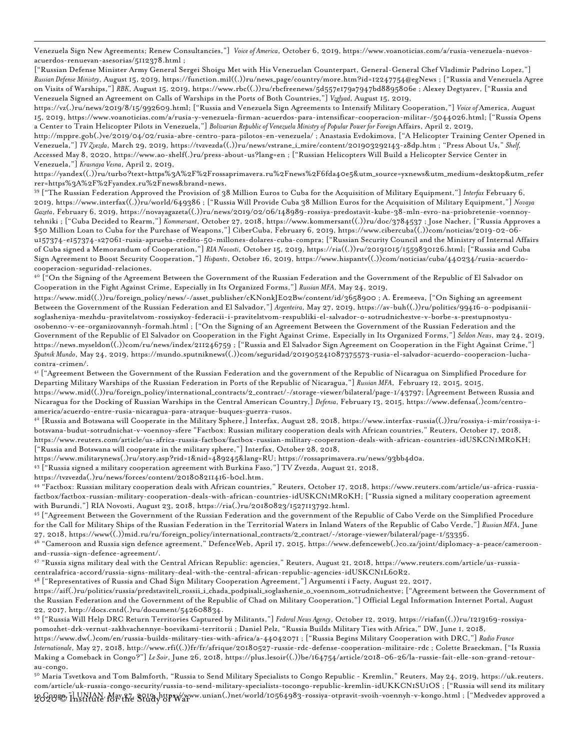Venezuela Sign New Agreements; Renew Consultancies,"] *Voice of America*, October 6, 2019, https://www.voanoticias.com/a/rusia-venezuela-nuevosacuerdos-renuevan-asesorias/5112378.html ;

["Russian Defense Minister Army General Sergei Shoigu Met with His Venezuelan Counterpart, General-General Chef Vladimir Padrino Lopez,"] *Russian Defense Ministry*, August 15, 2019, https://function.mil((.))ru/news\_page/country/more.htm?id=12247754@egNews ; ["Russia and Venezuela Agree on Visits of Warships,"] *RBK*, August 15, 2019, https://www.rbc((.))ru/rbcfreenews/5d557e179a7947bd8895806e ; Alexey Degtyarev, ["Russia and Venezuela Signed an Agreement on Calls of Warships in the Ports of Both Countries,"] *Vzglyad*, August 15, 2019,

https://vz(.)ru/news/2019/8/15/992609.html; ["Russia and Venezuela Sign Agreements to Intensify Military Cooperation,"] *Voice of* America, August 15, 2019, https://www.voanoticias.com/a/rusia-y-venezuela-firman-acuerdos-para-intensificar-cooperacion-militar-/5044026.html; ["Russia Opens a Center to Train Helicopter Pilots in Venezuela,"] Bolivarian Republic of Venezuela Ministry of Popular Power for Foreign Affairs, April 2, 2019,

http://mppre.gob(.)ve/2019/04/02/rusia-abre-centro-para-pilotos-en-venezuela/ ; Anastasia Evdokimova, ["A Helicopter Training Center Opened in Venezuela,"] *TV Zvezda*, March 29, 2019, https://tvzvezda((.))ru/news/vstrane\_i\_mire/content/201903292143-z8dp.htm ; "Press About Us," *Shelf,*  Accessed May 8, 2020, https://www.ao-shelf(.)ru/press-about-us?lang=en ; ["Russian Helicopters Will Build a Helicopter Service Center in Venezuela,"] *Krasnaya Vesna*, April 2, 2019,

https://yandex((.))ru/turbo?text=https%3A%2F%2Frossaprimavera.ru%2Fnews%2F6fda40e5&utm\_source=yxnews&utm\_medium=desktop&utm\_refer rer=https%3A%2F%2Fyandex.ru%2Fnews&brand=news.

<span id="page-10-0"></span><sup>39</sup> ["The Russian Federation Approved the Provision of 38 Million Euros to Cuba for the Acquisition of Military Equipment,"] *Interfax* February 6, 2019, https://www.interfax((.))ru/world/649386 ; ["Russia Will Provide Cuba 38 Million Euros for the Acquisition of Military Equipment,"] *Novaya Gazeta*, February 6, 2019, https://novayagazeta((.))ru/news/2019/02/06/148989-rossiya-predostavit-kube-38-mln-evro-na-priobretenie-voennoytehniki ; ["Cuba Decided to Rearm,"] *Kommersant*, October 27, 2018, https://www.kommersant((.))ru/doc/3784537 ; Jose Nacher, ["Russia Approves a \$50 Million Loan to Cuba for the Purchase of Weapons,"] CiberCuba, February 6, 2019, https://www.cibercuba((.))com/noticias/2019-02-06 u157374-e157374-s27061-rusia-aprueba-credito-50-millones-dolares-cuba-compra; ["Russian Security Council and the Ministry of Internal Affairs of Cuba signed a Memorandum of Cooperation,"] *RIA Novosti*, October 15, 2019, https://ria((.))ru/20191015/1559830126.html; ["Russia and Cuba Sign Agreement to Boost Security Cooperation,"] *Hispantv*, October 16, 2019, https://www.hispantv((.))com/noticias/cuba/440234/rusia-acuerdocooperacion-seguridad-relaciones.

<span id="page-10-1"></span> $40$  ["On the Signing of the Agreement Between the Government of the Russian Federation and the Government of the Republic of El Salvador on Cooperation in the Fight Against Crime, Especially in Its Organized Forms,"] *Russian MFA*, May 24, 2019,

https://www.mid((.))ru/foreign\_policy/news/-/asset\_publisher/cKNonkJE02Bw/content/id/3658900 ; A. Еremeeva, ["On Sighing an agreement Between the Government of the Russian Federation and El Salvador,"] *Argenteira*, May 27, 2019, https://av-buh((.))ru/politics/99416-o-podpisaniisoglasheniya-mezhdu-pravitelstvom-rossiyskoy-federacii-i-pravitelstvom-respubliki-el-salvador-o-sotrudnichestve-v-borbe-s-prestupnostyuosobenno-v-ee-organizovannyh-formah.html ; ["On the Signing of an Agreement Between the Government of the Russian Federation and the Government of the Republic of El Salvador on Cooperation in the Fight Against Crime, Especially in Its Organized Forms,"] *Seldon News*, may 24, 2019, https://news.myseldon((.))com/ru/news/index/211246759 ; ["Russia and El Salvador Sign Agreement on Cooperation in the Fight Against Crime,"] *Sputnik Mundo*, May 24, 2019, https://mundo.sputniknews((.))com/seguridad/201905241087375573-rusia-el-salvador-acuerdo-cooperacion-luchacontra-crimen/.

<span id="page-10-2"></span><sup>41</sup> ["Agreement Between the Government of the Russian Federation and the government of the Republic of Nicaragua on Simplified Procedure for Departing Military Warships of the Russian Federation in Ports of the Republic of Nicaragua,"] *Russian MFA*, February 12, 2015, 2015, https://www.mid((.))ru/foreign\_policy/international\_contracts/2\_contract/-/storage-viewer/bilateral/page-1/43797; [Agreement Between Russia and Nicaragua for the Docking of Russian Warships in the Central American Country,] *Defensa*, February 13, 2015, https://www.defensa(.)com/centroamerica/acuerdo-entre-rusia-nicaragua-para-atraque-buques-guerra-rusos.

<span id="page-10-3"></span><sup>42</sup> [Russia and Botswana will Cooperate in the Military Sphere,] Interfax, August 28, 2018, https://www.interfax-russia((.))ru/rossiya-i-mir/rossiya-ibotsvana-budut-sotrudnichat-v-voennoy-sfere "Factbox: Russian military cooperation deals with African countries," Reuters, October 17, 2018, https://www.reuters.com/article/us-africa-russia-factbox/factbox-russian-military-cooperation-deals-with-african-countries-idUSKCN1MR0KH; ["Russia and Botswana will cooperate in the military sphere,"] Interfax, October 28, 2018,

https://www.militarynews(.)ru/story.asp?rid=1&nid=489245&lang=RU; https://rossaprimavera.ru/news/93bb4d0a.

<span id="page-10-4"></span><sup>43</sup> ["Russia signed a military cooperation agreement with Burkina Faso,"] TV Zvezda, August 21, 2018,

https://tvzvezda(.)ru/news/forces/content/201808211416-b0cl.htm.

<span id="page-10-5"></span><sup>44</sup> "Factbox: Russian military cooperation deals with African countries," Reuters, October 17, 2018, https://www.reuters.com/article/us-africa-russiafactbox/factbox-russian-military-cooperation-deals-with-african-countries-idUSKCN1MR0KH; ["Russia signed a military cooperation agreement with Burundi,"] RIA Novosti, August 23, 2018, https://ria(.)ru/20180823/1527113792.html.

<span id="page-10-6"></span><sup>45</sup> ["Agreement Between the Government of the Russian Federation and the government of the Republic of Cabo Verde on the Simplified Procedure for the Call for Military Ships of the Russian Federation in the Territorial Waters in Inland Waters of the Republic of Cabo Verde,"] *Russian MFA*, June 27, 2018, https://www((.))mid.ru/ru/foreign\_policy/international\_contracts/2\_contract/-/storage-viewer/bilateral/page-1/53356.

<span id="page-10-7"></span><sup>46</sup> "Cameroon and Russia sign defence agreement," DefenceWeb, April 17, 2015, https://www.defenceweb(.)co.za/joint/diplomacy-a-peace/cameroonand-russia-sign-defence-agreement/.

<span id="page-10-8"></span><sup>47</sup> "Russia signs military deal with the Central African Republic: agencies," Reuters, August 21, 2018, https://www.reuters.com/article/us-russiacentralafrica-accord/russia-signs-military-deal-with-the-central-african-republic-agencies-idUSKCN1L60R2.

<span id="page-10-9"></span><sup>48</sup> ["Representatives of Russia and Chad Sign Military Cooperation Agreement,"] Argumenti i Facty, August 22, 2017,

https://aif(.)ru/politics/russia/predstaviteli\_rossii\_i\_chada\_podpisali\_soglashenie\_o\_voennom\_sotrudnichestve; ["Agreement between the Government of the Russian Federation and the Government of the Republic of Chad on Military Cooperation,"] Official Legal Information Internet Portal, August 22, 2017, http://docs.cntd(.)ru/document/542608834.

<span id="page-10-10"></span><sup>49</sup> ["Russia Will Help DRC Return Territories Captured by Militants,"] *Federal News Agency*, October 12, 2019, https://riafan((.))ru/1219169-rossiyapomozhet-drk-vernut-zakhvachennye-boevikami-territorii ; Daniel Pelz, "Russia Builds Military Ties with Africa," DW, June 1, 2018,

https://www.dw(.)com/en/russia-builds-military-ties-with-africa/a-44042071 ; ["Russia Begins Military Cooperation with DRC,"] *Radio France Internationale*, May 27, 2018, http://www.rfi((.))fr/fr/afrique/20180527-russie-rdc-defense-cooperation-militaire-rdc ; Colette Braeckman, ["Is Russia Making a Comeback in Congo?"] *Le Soir*, June 26, 2018, https://plus.lesoir((.))be/164754/article/2018-06-26/la-russie-fait-elle-son-grand-retourau-congo.

<span id="page-10-11"></span>toG983@,"] UNIAN, May 27, 2019, https://www.unian(.)net/world/10564983-rossiya-otpravit-svoih-voennyh-v-kongo.html ; ["Medvedev approved a<br>L <sup>50</sup> Maria Tsvetkova and Tom Balmforth, "Russia to Send Military Specialists to Congo Republic - Kremlin," Reuters, May 24, 2019, https://uk.reuters. com/article/uk-russia-congo-security/russia-to-send-military-specialists-tocongo-republic-kremlin-idUKKCN1SU1OS ; ["Russia will send its military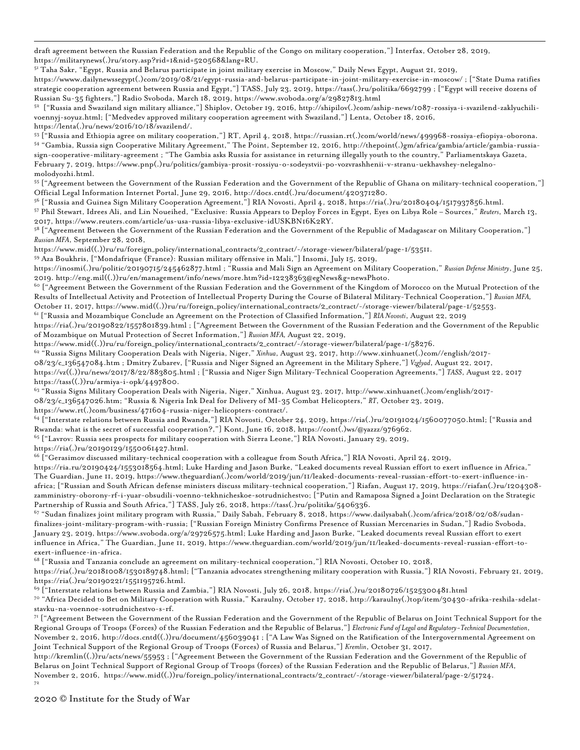draft agreement between the Russian Federation and the Republic of the Congo on military cooperation,"] Interfax, October 28, 2019, https://militarynews(.)ru/story.asp?rid=1&nid=520568&lang=RU.

<span id="page-11-0"></span><sup>51</sup> Taha Sakr, "Egypt, Russia and Belarus participate in joint military exercise in Moscow," Daily News Egypt, August 21, 2019,

https://wwww.dailynewssegypt(.)com/2019/08/21/egypt-russia-and-belarus-participate-in-joint-military-exercise-in-moscow/ ; ["State Duma ratifies strategic cooperation agreement between Russia and Egypt,"] TASS, July 23, 2019, https://tass(.)ru/politika/6692799 ; ["Egypt will receive dozens of Russian Su-35 fighters,"] Radio Svoboda, March 18, 2019, https://www.svoboda.org/a/29827813.html

<span id="page-11-1"></span>52 ["Russia and Swaziland sign military alliance,"] Shiplov, October 19, 2016, http://shipilov(.)com/aship-news/1087-rossiya-i-svazilend-zaklyuchilivoennyj-soyuz.html; ["Medvedev approved military cooperation agreement with Swaziland,"] Lenta, October 18, 2016, https://lenta(.)ru/news/2016/10/18/svazilend/.

<span id="page-11-3"></span><span id="page-11-2"></span><sup>53</sup> ["Russia and Ethiopia agree on military cooperation,"] RT, April 4, 2018, https://russian.rt(.)com/world/news/499968-rossiya-efiopiya-oborona. <sup>54</sup> "Gambia, Russia sign Cooperative Military Agreement," The Point, September 12, 2016, http://thepoint(.)gm/africa/gambia/article/gambia-russiasign-cooperative-military-agreement ; "The Gambia asks Russia for assistance in returning illegally youth to the country," Parliamentskaya Gazeta, February 7, 2019, https://www.pnp(.)ru/politics/gambiya-prosit-rossiyu-o-sodeystvii-po-vozvrashhenii-v-stranu-uekhavshey-nelegalnomolodyozhi.html.

<span id="page-11-4"></span><sup>55</sup> ["Agreement between the Government of the Russian Federation and the Government of the Republic of Ghana on military-technical cooperation,"] Official Legal Information Internet Portal, June 29, 2016, http://docs.cntd(.)ru/document/420371280.

<span id="page-11-5"></span><sup>56</sup> ["Russia and Guinea Sign Military Cooperation Agreement,"] RIA Novosti, April 4, 2018, https://ria(.)ru/20180404/1517937856.html.

<span id="page-11-6"></span><sup>57</sup> Phil Stewart, Idrees Ali, and Lin Noueihed, "Exclusive: Russia Appears to Deploy Forces in Egypt, Eyes on Libya Role – Sources," *Reuters*, March 13, 2017, https://www.reuters.com/article/us-usa-russia-libya-exclusive-idUSKBN16K2RY.

<span id="page-11-7"></span> $^{58}$  ["Agreement Between the Government of the Russian Federation and the Government of the Republic of Madagascar on Military Cooperation,"] *Russian MFA*, September 28, 2018,

https://www.mid((.))ru/ru/foreign\_policy/international\_contracts/2\_contract/-/storage-viewer/bilateral/page-1/53511.

<span id="page-11-8"></span><sup>59</sup> Aza Boukhris, ["Mondafrique (France): Russian military offensive in Mali,"] Insomi, July 15, 2019,

https://inosmi(.)ru/politic/20190715/245462877.html ; "Russia and Mali Sign an Agreement on Military Cooperation," *Russian Defense Ministry*, June 25, 2019. http://eng.mil((.))ru/en/management/info/news/more.htm?id=12238363@egNews&g=newsPhoto.

<span id="page-11-9"></span> $^{60}$  ["Agreement Between the Government of the Russian Federation and the Government of the Kingdom of Morocco on the Mutual Protection of the Results of Intellectual Activity and Protection of Intellectual Property During the Course of Bilateral Military-Technical Cooperation,"] *Russian MFA,* October 11, 2017, https://www.mid((.))ru/ru/foreign\_policy/international\_contracts/2\_contract/-/storage-viewer/bilateral/page-1/52553.

<span id="page-11-10"></span><sup>61</sup> ["Russia and Mozambique Conclude an Agreement on the Protection of Classified Information,"] *RIA Novosti*, August 22, 2019

https://ria(.)ru/20190822/1557801839.html ; ["Agreement Between the Government of the Russian Federation and the Government of the Republic of Mozambique on Mutual Protection of Secret Information,"] *Russian MFA,* August 22, 2019,

https://www.mid((.))ru/ru/foreign\_policy/international\_contracts/2\_contract/-/storage-viewer/bilateral/page-1/58276.

<span id="page-11-11"></span><sup>62</sup> "Russia Signs Military Cooperation Deals with Nigeria, Niger," *Xinhua*, August 23, 2017, http://www.xinhuanet(.)com//english/2017-

08/23/c\_136547084.htm ; Dmitry Zubarev, ["Russia and Niger Signed an Agreement in the Military Sphere,"] *Vzglyad*, August 22, 2017,

https://vz((.))ru/news/2017/8/22/883805.html ; ["Russia and Niger Sign Military-Technical Cooperation Agreements,"] *TASS*, August 22, 2017 https://tass((.))ru/armiya-i-opk/4497800.

<span id="page-11-12"></span><sup>63</sup> "Russia Signs Military Cooperation Deals with Nigeria, Niger," Xinhua, August 23, 2017, http://www.xinhuanet(.)com/english/2017-

08/23/c\_136547026.htm; "Russia & Nigeria Ink Deal for Delivery of MI-35 Combat Helicopters," *RT*, October 23, 2019,

https://www.rt(.)com/business/471604-russia-niger-helicopters-contract/.

<span id="page-11-13"></span><sup>64</sup> ["Interstate relations between Russia and Rwanda,"] RIA Novosti, October 24, 2019, https://ria(.)ru/20191024/1560077050.html; ["Russia and Rwanda: what is the secret of successful cooperation?,"] Kont, June 16, 2018, https://cont(.)ws/@yazzz/976962.

<span id="page-11-14"></span><sup>65</sup> ["Lavrov: Russia sees prospects for military cooperation with Sierra Leone,"] RIA Novosti, January 29, 2019,

https://ria(.)ru/20190129/1550061427.html.

<span id="page-11-15"></span><sup>66</sup> ["Gerasimov discussed military-technical cooperation with a colleague from South Africa,"] RIA Novosti, April 24, 2019,

https://ria.ru/20190424/1553018564.html; Luke Harding and Jason Burke, "Leaked documents reveal Russian effort to exert influence in Africa," The Guardian, June 11, 2019, https://www.theguardian(.)com/world/2019/jun/11/leaked-documents-reveal-russian-effort-to-exert-influence-inafrica; ["Russian and South African defense ministers discuss military-technical cooperation,"] Riafan, August 17, 2019, https://riafan(.)ru/1204308 zamministry-oborony-rf-i-yuar-obsudili-voenno-tekhnicheskoe-sotrudnichestvo; ["Putin and Ramaposa Signed a Joint Declaration on the Strategic Partnership of Russia and South Africa,"] TASS, July 26, 2018, https://tass(.)ru/politika/5406336.

<span id="page-11-16"></span><sup>67</sup> "Sudan finalizes joint military program with Russia," Daily Sabah, February 8, 2018, https://www.dailysabah(.)com/africa/2018/02/08/sudanfinalizes-joint-military-program-with-russia; ["Russian Foreign Ministry Confirms Presence of Russian Mercenaries in Sudan,"] Radio Svoboda, January 23, 2019, https://www.svoboda.org/a/29726575.html; Luke Harding and Jason Burke, "Leaked documents reveal Russian effort to exert influence in Africa," The Guardian, June 11, 2019, https://www.theguardian.com/world/2019/jun/11/leaked-documents-reveal-russian-effort-toexert-influence-in-africa.

<span id="page-11-17"></span><sup>68</sup> ["Russia and Tanzania conclude an agreement on military-technical cooperation,"] RIA Novosti, October 10, 2018,

https://ria(.)ru/20181008/1530189748.html; ["Tanzania advocates strengthening military cooperation with Russia,"] RIA Novosti, February 21, 2019, https://ria(.)ru/20190221/1551195726.html.

<span id="page-11-18"></span><sup>69</sup> ["Interstate relations between Russia and Zambia,"] RIA Novosti, July 26, 2018, https://ria(.)ru/20180726/1525300481.html

<span id="page-11-19"></span><sup>70</sup> "Africa Decided to Bet on Military Cooperation with Russia," Karaulny, October 17, 2018, http://karaulny(.)top/item/30430-afrika-reshila-sdelatstavku-na-voennoe-sotrudnichestvo-s-rf.

<span id="page-11-20"></span><sup>71</sup> ["Agreement Between the Government of the Russian Federation and the Government of the Republic of Belarus on Joint Technical Support for the Regional Groups of Troops (Forces) of the Russian Federation and the Republic of Belarus,"] *Electronic Fund of Legal and Regulatory-Technical Documentation*, November 2, 2016, http://docs.cntd((.))ru/document/456039041 ; ["A Law Was Signed on the Ratification of the Intergovernmental Agreement on Joint Technical Support of the Regional Group of Troops (Forces) of Russia and Belarus,"] *Kremlin*, October 31, 2017,

http://kremlin((.))ru/acts/news/55953 ; ["Agreement Between the Government of the Russian Federation and the Government of the Republic of Belarus on Joint Technical Support of Regional Group of Troops (forces) of the Russian Federation and the Republic of Belarus,"] *Russian MFA*, November 2, 2016, https://www.mid((.))ru/foreign\_policy/international\_contracts/2\_contract/-/storage-viewer/bilateral/page-2/51724. 72

<span id="page-11-21"></span>2020 © Institute for the Study of War